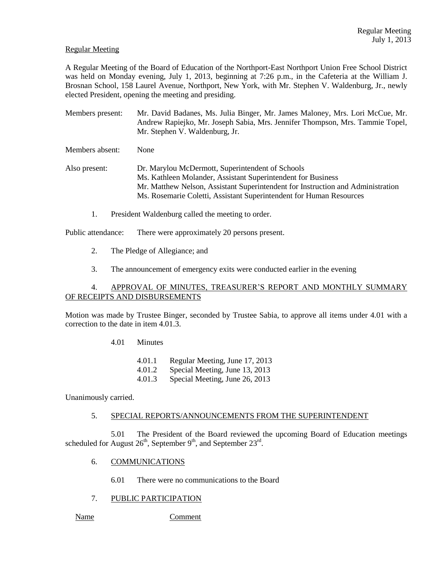## Regular Meeting

A Regular Meeting of the Board of Education of the Northport-East Northport Union Free School District was held on Monday evening, July 1, 2013, beginning at 7:26 p.m., in the Cafeteria at the William J. Brosnan School, 158 Laurel Avenue, Northport, New York, with Mr. Stephen V. Waldenburg, Jr., newly elected President, opening the meeting and presiding.

Members present: Mr. David Badanes, Ms. Julia Binger, Mr. James Maloney, Mrs. Lori McCue, Mr. Andrew Rapiejko, Mr. Joseph Sabia, Mrs. Jennifer Thompson, Mrs. Tammie Topel, Mr. Stephen V. Waldenburg, Jr.

Members absent: None

Also present: Dr. Marylou McDermott, Superintendent of Schools Ms. Kathleen Molander, Assistant Superintendent for Business Mr. Matthew Nelson, Assistant Superintendent for Instruction and Administration Ms. Rosemarie Coletti, Assistant Superintendent for Human Resources

1. President Waldenburg called the meeting to order.

Public attendance: There were approximately 20 persons present.

- 2. The Pledge of Allegiance; and
- 3. The announcement of emergency exits were conducted earlier in the evening

# 4. APPROVAL OF MINUTES, TREASURER'S REPORT AND MONTHLY SUMMARY OF RECEIPTS AND DISBURSEMENTS

Motion was made by Trustee Binger, seconded by Trustee Sabia, to approve all items under 4.01 with a correction to the date in item 4.01.3.

4.01 Minutes

4.01.1 Regular Meeting, June 17, 2013

- 4.01.2 Special Meeting, June 13, 2013
- 4.01.3 Special Meeting, June 26, 2013

Unanimously carried.

### 5. SPECIAL REPORTS/ANNOUNCEMENTS FROM THE SUPERINTENDENT

5.01 The President of the Board reviewed the upcoming Board of Education meetings scheduled for August  $26^{\text{th}}$ , September  $9^{\text{th}}$ , and September  $23^{\text{rd}}$ .

- 6. COMMUNICATIONS
	- 6.01 There were no communications to the Board
- 7. PUBLIC PARTICIPATION

Name Comment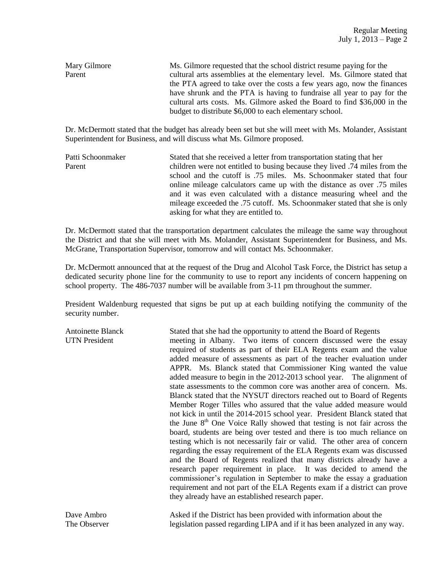| Mary Gilmore | Ms. Gilmore requested that the school district resume paying for the      |  |  |  |  |  |
|--------------|---------------------------------------------------------------------------|--|--|--|--|--|
| Parent       | cultural arts assemblies at the elementary level. Ms. Gilmore stated that |  |  |  |  |  |
|              | the PTA agreed to take over the costs a few years ago, now the finances   |  |  |  |  |  |
|              | have shrunk and the PTA is having to fundraise all year to pay for the    |  |  |  |  |  |
|              | cultural arts costs. Ms. Gilmore asked the Board to find \$36,000 in the  |  |  |  |  |  |
|              | budget to distribute \$6,000 to each elementary school.                   |  |  |  |  |  |

Dr. McDermott stated that the budget has already been set but she will meet with Ms. Molander, Assistant Superintendent for Business, and will discuss what Ms. Gilmore proposed.

| Patti Schoonmaker | Stated that she received a letter from transportation stating that her     |  |  |  |  |  |
|-------------------|----------------------------------------------------------------------------|--|--|--|--|--|
| Parent            | children were not entitled to busing because they lived .74 miles from the |  |  |  |  |  |
|                   | school and the cutoff is .75 miles. Ms. Schoonmaker stated that four       |  |  |  |  |  |
|                   | online mileage calculators came up with the distance as over .75 miles     |  |  |  |  |  |
|                   | and it was even calculated with a distance measuring wheel and the         |  |  |  |  |  |
|                   | mileage exceeded the .75 cutoff. Ms. Schoonmaker stated that she is only   |  |  |  |  |  |
|                   | asking for what they are entitled to.                                      |  |  |  |  |  |

Dr. McDermott stated that the transportation department calculates the mileage the same way throughout the District and that she will meet with Ms. Molander, Assistant Superintendent for Business, and Ms. McGrane, Transportation Supervisor, tomorrow and will contact Ms. Schoonmaker.

Dr. McDermott announced that at the request of the Drug and Alcohol Task Force, the District has setup a dedicated security phone line for the community to use to report any incidents of concern happening on school property. The 486-7037 number will be available from 3-11 pm throughout the summer.

President Waldenburg requested that signs be put up at each building notifying the community of the security number.

| <b>Antoinette Blanck</b><br><b>UTN</b> President | Stated that she had the opportunity to attend the Board of Regents<br>meeting in Albany. Two items of concern discussed were the essay<br>required of students as part of their ELA Regents exam and the value<br>added measure of assessments as part of the teacher evaluation under<br>APPR. Ms. Blanck stated that Commissioner King wanted the value<br>added measure to begin in the 2012-2013 school year. The alignment of<br>state assessments to the common core was another area of concern. Ms.<br>Blanck stated that the NYSUT directors reached out to Board of Regents<br>Member Roger Tilles who assured that the value added measure would<br>not kick in until the 2014-2015 school year. President Blanck stated that<br>the June 8 <sup>th</sup> One Voice Rally showed that testing is not fair across the<br>board, students are being over tested and there is too much reliance on<br>testing which is not necessarily fair or valid. The other area of concern<br>regarding the essay requirement of the ELA Regents exam was discussed<br>and the Board of Regents realized that many districts already have a<br>research paper requirement in place. It was decided to amend the<br>commissioner's regulation in September to make the essay a graduation<br>requirement and not part of the ELA Regents exam if a district can prove<br>they already have an established research paper. |
|--------------------------------------------------|-----------------------------------------------------------------------------------------------------------------------------------------------------------------------------------------------------------------------------------------------------------------------------------------------------------------------------------------------------------------------------------------------------------------------------------------------------------------------------------------------------------------------------------------------------------------------------------------------------------------------------------------------------------------------------------------------------------------------------------------------------------------------------------------------------------------------------------------------------------------------------------------------------------------------------------------------------------------------------------------------------------------------------------------------------------------------------------------------------------------------------------------------------------------------------------------------------------------------------------------------------------------------------------------------------------------------------------------------------------------------------------------------------------------------|
| Dave Ambro                                       | Asked if the District has been provided with information about the                                                                                                                                                                                                                                                                                                                                                                                                                                                                                                                                                                                                                                                                                                                                                                                                                                                                                                                                                                                                                                                                                                                                                                                                                                                                                                                                                    |

The Observer legislation passed regarding LIPA and if it has been analyzed in any way.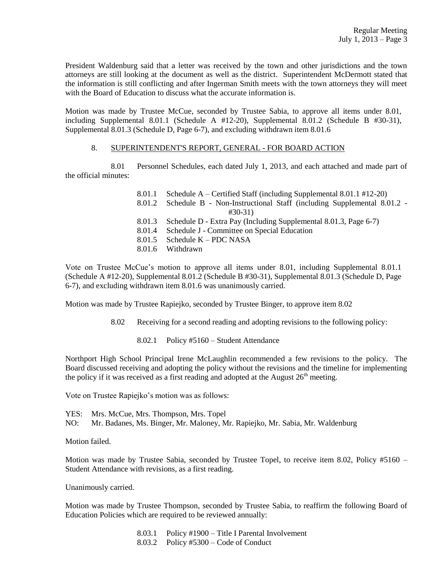President Waldenburg said that a letter was received by the town and other jurisdictions and the town attorneys are still looking at the document as well as the district. Superintendent McDermott stated that the information is still conflicting and after Ingerman Smith meets with the town attorneys they will meet with the Board of Education to discuss what the accurate information is.

Motion was made by Trustee McCue, seconded by Trustee Sabia, to approve all items under 8.01, including Supplemental 8.01.1 (Schedule A  $#12-20$ ), Supplemental 8.01.2 (Schedule B  $#30-31$ ), Supplemental 8.01.3 (Schedule D, Page 6-7), and excluding withdrawn item 8.01.6

## 8. SUPERINTENDENT'S REPORT, GENERAL - FOR BOARD ACTION

8.01 Personnel Schedules, each dated July 1, 2013, and each attached and made part of the official minutes:

| 8.01.1 Schedule A – Certified Staff (including Supplemental 8.01.1 #12-20)   |
|------------------------------------------------------------------------------|
| 8.01.2 Schedule B - Non-Instructional Staff (including Supplemental 8.01.2 - |
| $\#30-31$                                                                    |
| 8.01.3 Schedule D - Extra Pay (Including Supplemental 8.01.3, Page 6-7)      |
| 8.01.4 Schedule J - Committee on Special Education                           |
| 8.01.5 Schedule $K - PDC NASA$                                               |
| 8.01.6 Withdrawn                                                             |
|                                                                              |

Vote on Trustee McCue's motion to approve all items under 8.01, including Supplemental 8.01.1 (Schedule A #12-20), Supplemental 8.01.2 (Schedule B #30-31), Supplemental 8.01.3 (Schedule D, Page 6-7), and excluding withdrawn item 8.01.6 was unanimously carried.

Motion was made by Trustee Rapiejko, seconded by Trustee Binger, to approve item 8.02

8.02 Receiving for a second reading and adopting revisions to the following policy:

8.02.1 Policy #5160 – Student Attendance

Northport High School Principal Irene McLaughlin recommended a few revisions to the policy. The Board discussed receiving and adopting the policy without the revisions and the timeline for implementing the policy if it was received as a first reading and adopted at the August  $26<sup>th</sup>$  meeting.

Vote on Trustee Rapiejko's motion was as follows:

YES: Mrs. McCue, Mrs. Thompson, Mrs. Topel NO: Mr. Badanes, Ms. Binger, Mr. Maloney, Mr. Rapiejko, Mr. Sabia, Mr. Waldenburg

Motion failed.

Motion was made by Trustee Sabia, seconded by Trustee Topel, to receive item 8.02, Policy #5160 – Student Attendance with revisions, as a first reading.

Unanimously carried.

Motion was made by Trustee Thompson, seconded by Trustee Sabia, to reaffirm the following Board of Education Policies which are required to be reviewed annually:

> 8.03.1 Policy #1900 – Title I Parental Involvement 8.03.2 Policy #5300 – Code of Conduct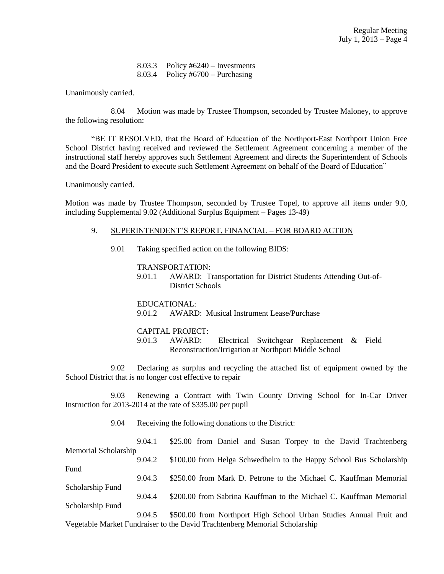8.03.3 Policy #6240 – Investments 8.03.4 Policy #6700 – Purchasing

Unanimously carried.

8.04 Motion was made by Trustee Thompson, seconded by Trustee Maloney, to approve the following resolution:

"BE IT RESOLVED, that the Board of Education of the Northport-East Northport Union Free School District having received and reviewed the Settlement Agreement concerning a member of the instructional staff hereby approves such Settlement Agreement and directs the Superintendent of Schools and the Board President to execute such Settlement Agreement on behalf of the Board of Education"

Unanimously carried.

Motion was made by Trustee Thompson, seconded by Trustee Topel, to approve all items under 9.0, including Supplemental 9.02 (Additional Surplus Equipment – Pages 13-49)

#### 9. SUPERINTENDENT'S REPORT, FINANCIAL – FOR BOARD ACTION

9.01 Taking specified action on the following BIDS:

TRANSPORTATION:

9.01.1 AWARD: Transportation for District Students Attending Out-of-District Schools

EDUCATIONAL: 9.01.2 AWARD: Musical Instrument Lease/Purchase

#### CAPITAL PROJECT:

9.01.3 AWARD: Electrical Switchgear Replacement & Field Reconstruction/Irrigation at Northport Middle School

 9.02 Declaring as surplus and recycling the attached list of equipment owned by the School District that is no longer cost effective to repair

9.03 Renewing a Contract with Twin County Driving School for In-Car Driver Instruction for 2013-2014 at the rate of \$335.00 per pupil

9.04 Receiving the following donations to the District:

| 9.04.1                                                                     |  |  | \$25.00 from Daniel and Susan Torpey to the David Trachtenberg     |
|----------------------------------------------------------------------------|--|--|--------------------------------------------------------------------|
| Memorial Scholarship                                                       |  |  |                                                                    |
| 9.04.2                                                                     |  |  | \$100.00 from Helga Schwedhelm to the Happy School Bus Scholarship |
| Fund                                                                       |  |  |                                                                    |
| 9.04.3                                                                     |  |  | \$250.00 from Mark D. Petrone to the Michael C. Kauffman Memorial  |
| Scholarship Fund                                                           |  |  |                                                                    |
| 9.04.4                                                                     |  |  | \$200.00 from Sabrina Kauffman to the Michael C. Kauffman Memorial |
| Scholarship Fund                                                           |  |  |                                                                    |
| 9.04.5                                                                     |  |  | \$500.00 from Northport High School Urban Studies Annual Fruit and |
| Vegetable Market Fundraiser to the David Trachtenberg Memorial Scholarship |  |  |                                                                    |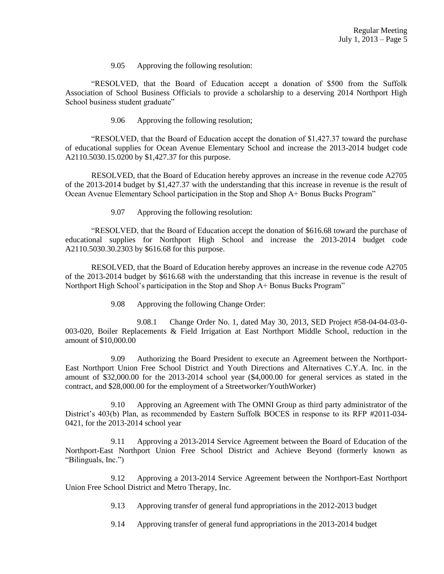9.05 Approving the following resolution:

"RESOLVED, that the Board of Education accept a donation of \$500 from the Suffolk Association of School Business Officials to provide a scholarship to a deserving 2014 Northport High School business student graduate"

9.06 Approving the following resolution;

"RESOLVED, that the Board of Education accept the donation of \$1,427.37 toward the purchase of educational supplies for Ocean Avenue Elementary School and increase the 2013-2014 budget code A2110.5030.15.0200 by \$1,427.37 for this purpose.

RESOLVED, that the Board of Education hereby approves an increase in the revenue code A2705 of the 2013-2014 budget by \$1,427.37 with the understanding that this increase in revenue is the result of Ocean Avenue Elementary School participation in the Stop and Shop A+ Bonus Bucks Program"

9.07 Approving the following resolution:

"RESOLVED, that the Board of Education accept the donation of \$616.68 toward the purchase of educational supplies for Northport High School and increase the 2013-2014 budget code A2110.5030.30.2303 by \$616.68 for this purpose.

RESOLVED, that the Board of Education hereby approves an increase in the revenue code A2705 of the 2013-2014 budget by \$616.68 with the understanding that this increase in revenue is the result of Northport High School's participation in the Stop and Shop A+ Bonus Bucks Program"

9.08 Approving the following Change Order:

9.08.1 Change Order No. 1, dated May 30, 2013, SED Project #58-04-04-03-0- 003-020, Boiler Replacements & Field Irrigation at East Northport Middle School, reduction in the amount of \$10,000.00

9.09 Authorizing the Board President to execute an Agreement between the Northport-East Northport Union Free School District and Youth Directions and Alternatives C.Y.A. Inc. in the amount of \$32,000.00 for the 2013-2014 school year (\$4,000.00 for general services as stated in the contract, and \$28,000.00 for the employment of a Streetworker/YouthWorker)

9.10 Approving an Agreement with The OMNI Group as third party administrator of the District's 403(b) Plan, as recommended by Eastern Suffolk BOCES in response to its RFP #2011-034- 0421, for the 2013-2014 school year

9.11 Approving a 2013-2014 Service Agreement between the Board of Education of the Northport-East Northport Union Free School District and Achieve Beyond (formerly known as "Bilinguals, Inc.")

9.12 Approving a 2013-2014 Service Agreement between the Northport-East Northport Union Free School District and Metro Therapy, Inc.

- 9.13 Approving transfer of general fund appropriations in the 2012-2013 budget
- 9.14 Approving transfer of general fund appropriations in the 2013-2014 budget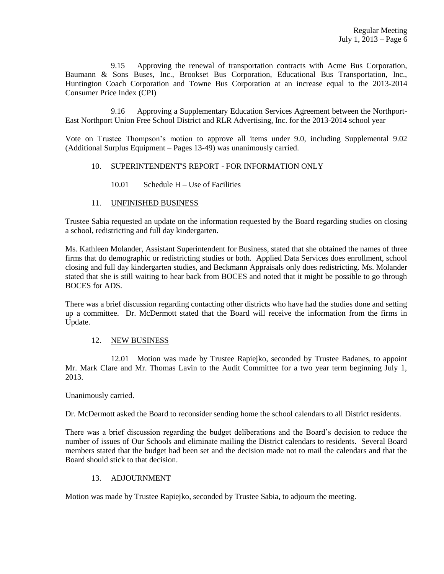9.15 Approving the renewal of transportation contracts with Acme Bus Corporation, Baumann & Sons Buses, Inc., Brookset Bus Corporation, Educational Bus Transportation, Inc., Huntington Coach Corporation and Towne Bus Corporation at an increase equal to the 2013-2014 Consumer Price Index (CPI)

9.16 Approving a Supplementary Education Services Agreement between the Northport-East Northport Union Free School District and RLR Advertising, Inc. for the 2013-2014 school year

Vote on Trustee Thompson's motion to approve all items under 9.0, including Supplemental 9.02 (Additional Surplus Equipment – Pages 13-49) was unanimously carried.

## 10. SUPERINTENDENT'S REPORT - FOR INFORMATION ONLY

 $10.01$  Schedule H – Use of Facilities

## 11. UNFINISHED BUSINESS

Trustee Sabia requested an update on the information requested by the Board regarding studies on closing a school, redistricting and full day kindergarten.

Ms. Kathleen Molander, Assistant Superintendent for Business, stated that she obtained the names of three firms that do demographic or redistricting studies or both. Applied Data Services does enrollment, school closing and full day kindergarten studies, and Beckmann Appraisals only does redistricting. Ms. Molander stated that she is still waiting to hear back from BOCES and noted that it might be possible to go through BOCES for ADS.

There was a brief discussion regarding contacting other districts who have had the studies done and setting up a committee. Dr. McDermott stated that the Board will receive the information from the firms in Update.

# 12. NEW BUSINESS

12.01 Motion was made by Trustee Rapiejko, seconded by Trustee Badanes, to appoint Mr. Mark Clare and Mr. Thomas Lavin to the Audit Committee for a two year term beginning July 1, 2013.

Unanimously carried.

Dr. McDermott asked the Board to reconsider sending home the school calendars to all District residents.

There was a brief discussion regarding the budget deliberations and the Board's decision to reduce the number of issues of Our Schools and eliminate mailing the District calendars to residents. Several Board members stated that the budget had been set and the decision made not to mail the calendars and that the Board should stick to that decision.

# 13. ADJOURNMENT

Motion was made by Trustee Rapiejko, seconded by Trustee Sabia, to adjourn the meeting.